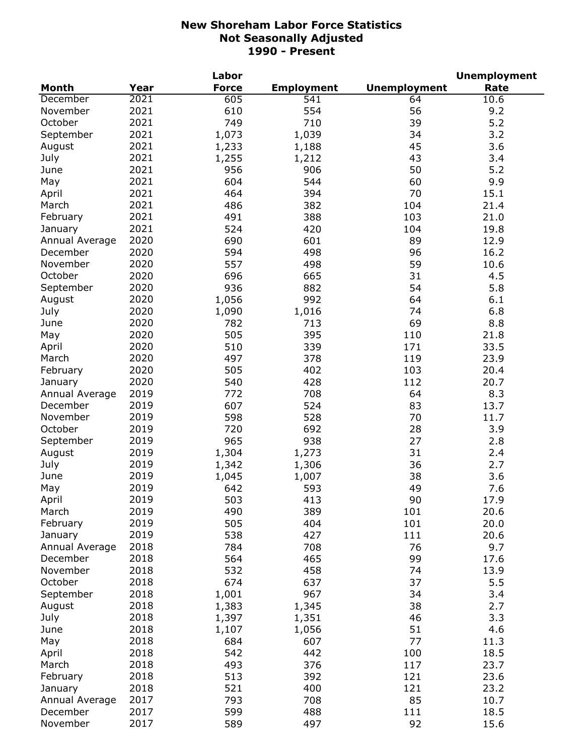|                            |      | Labor        |                   |                     | <b>Unemployment</b> |
|----------------------------|------|--------------|-------------------|---------------------|---------------------|
| <b>Month</b>               | Year | <b>Force</b> | <b>Employment</b> | <b>Unemployment</b> | Rate                |
| December                   | 2021 | 605          | 541               | 64                  | 10.6                |
| November                   | 2021 | 610          | 554               | 56                  | 9.2                 |
| October                    | 2021 | 749          | 710               | 39                  | 5.2                 |
| September                  | 2021 | 1,073        | 1,039             | 34                  | 3.2                 |
| August                     | 2021 | 1,233        | 1,188             | 45                  | 3.6                 |
| July                       | 2021 | 1,255        | 1,212             | 43                  | 3.4                 |
| June                       | 2021 | 956          | 906               | 50                  | 5.2                 |
| May                        | 2021 | 604          | 544               | 60                  | 9.9                 |
| April                      | 2021 | 464          | 394               | 70                  | 15.1                |
| March                      | 2021 | 486          | 382               | 104                 | 21.4                |
| February                   | 2021 | 491          | 388               | 103                 | 21.0                |
| January                    | 2021 | 524          | 420               | 104                 | 19.8                |
| Annual Average             | 2020 | 690          | 601               | 89                  | 12.9                |
| December                   | 2020 | 594          | 498               | 96                  | 16.2                |
| November                   | 2020 | 557          | 498               | 59                  | 10.6                |
| October                    | 2020 | 696          | 665               | 31                  | 4.5                 |
| September                  | 2020 | 936          | 882               | 54                  | 5.8                 |
| August                     | 2020 | 1,056        | 992               | 64                  | 6.1                 |
| July                       | 2020 | 1,090        | 1,016             | 74                  | 6.8                 |
| June                       | 2020 | 782          | 713               | 69                  | 8.8                 |
| May                        | 2020 | 505          | 395               | 110                 | 21.8                |
| April                      | 2020 | 510          | 339               | 171                 | 33.5                |
| March                      | 2020 | 497          | 378               | 119                 | 23.9                |
| February                   | 2020 | 505          | 402               | 103                 | 20.4                |
|                            | 2020 | 540          | 428               | 112                 | 20.7                |
| January                    | 2019 | 772          | 708               | 64                  |                     |
| Annual Average<br>December | 2019 |              |                   | 83                  | 8.3                 |
|                            |      | 607          | 524               |                     | 13.7                |
| November                   | 2019 | 598          | 528               | 70                  | 11.7                |
| October                    | 2019 | 720          | 692               | 28                  | 3.9                 |
| September                  | 2019 | 965          | 938               | 27                  | 2.8                 |
| August                     | 2019 | 1,304        | 1,273             | 31                  | 2.4                 |
| July                       | 2019 | 1,342        | 1,306             | 36                  | 2.7                 |
| June                       | 2019 | 1,045        | 1,007             | 38                  | 3.6                 |
| May                        | 2019 | 642          | 593               | 49                  | 7.6                 |
| April                      | 2019 | 503          | 413               | 90                  | 17.9                |
| March                      | 2019 | 490          | 389               | 101                 | 20.6                |
| February                   | 2019 | 505          | 404               | 101                 | 20.0                |
| January                    | 2019 | 538          | 427               | 111                 | 20.6                |
| Annual Average             | 2018 | 784          | 708               | 76                  | 9.7                 |
| December                   | 2018 | 564          | 465               | 99                  | 17.6                |
| November                   | 2018 | 532          | 458               | 74                  | 13.9                |
| October                    | 2018 | 674          | 637               | 37                  | 5.5                 |
| September                  | 2018 | 1,001        | 967               | 34                  | 3.4                 |
| August                     | 2018 | 1,383        | 1,345             | 38                  | 2.7                 |
| July                       | 2018 | 1,397        | 1,351             | 46                  | 3.3                 |
| June                       | 2018 | 1,107        | 1,056             | 51                  | 4.6                 |
| May                        | 2018 | 684          | 607               | 77                  | 11.3                |
| April                      | 2018 | 542          | 442               | 100                 | 18.5                |
| March                      | 2018 | 493          | 376               | 117                 | 23.7                |
| February                   | 2018 | 513          | 392               | 121                 | 23.6                |
| January                    | 2018 | 521          | 400               | 121                 | 23.2                |
| Annual Average             | 2017 | 793          | 708               | 85                  | 10.7                |
| December                   | 2017 | 599          | 488               | 111                 | 18.5                |
| November                   | 2017 | 589          | 497               | 92                  | 15.6                |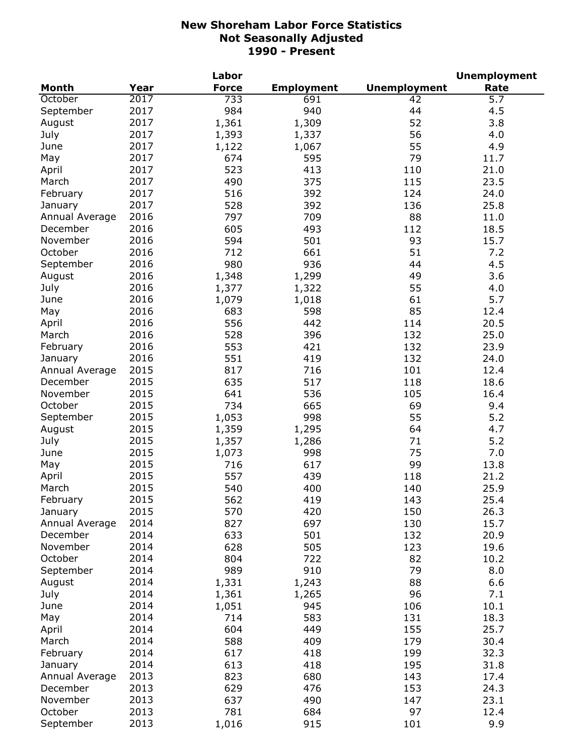|                |      | Labor        |                   |                     | <b>Unemployment</b> |
|----------------|------|--------------|-------------------|---------------------|---------------------|
| <b>Month</b>   | Year | <b>Force</b> | <b>Employment</b> | <b>Unemployment</b> | Rate                |
| October        | 2017 | 733          | 691               | 42                  | $\overline{5.7}$    |
| September      | 2017 | 984          | 940               | 44                  | 4.5                 |
| August         | 2017 | 1,361        | 1,309             | 52                  | 3.8                 |
| July           | 2017 | 1,393        | 1,337             | 56                  | 4.0                 |
| June           | 2017 | 1,122        | 1,067             | 55                  | 4.9                 |
| May            | 2017 | 674          | 595               | 79                  | 11.7                |
| April          | 2017 | 523          | 413               | 110                 | 21.0                |
| March          | 2017 | 490          | 375               | 115                 | 23.5                |
| February       | 2017 | 516          | 392               | 124                 | 24.0                |
| January        | 2017 | 528          | 392               | 136                 | 25.8                |
| Annual Average | 2016 | 797          | 709               | 88                  | 11.0                |
| December       | 2016 | 605          | 493               | 112                 | 18.5                |
| November       | 2016 | 594          | 501               | 93                  | 15.7                |
| October        | 2016 | 712          | 661               | 51                  | 7.2                 |
|                | 2016 | 980          | 936               | 44                  | 4.5                 |
| September      |      |              |                   |                     |                     |
| August         | 2016 | 1,348        | 1,299             | 49                  | 3.6                 |
| July           | 2016 | 1,377        | 1,322             | 55                  | 4.0                 |
| June           | 2016 | 1,079        | 1,018             | 61                  | 5.7                 |
| May            | 2016 | 683          | 598               | 85                  | 12.4                |
| April          | 2016 | 556          | 442               | 114                 | 20.5                |
| March          | 2016 | 528          | 396               | 132                 | 25.0                |
| February       | 2016 | 553          | 421               | 132                 | 23.9                |
| January        | 2016 | 551          | 419               | 132                 | 24.0                |
| Annual Average | 2015 | 817          | 716               | 101                 | 12.4                |
| December       | 2015 | 635          | 517               | 118                 | 18.6                |
| November       | 2015 | 641          | 536               | 105                 | 16.4                |
| October        | 2015 | 734          | 665               | 69                  | 9.4                 |
| September      | 2015 | 1,053        | 998               | 55                  | 5.2                 |
| August         | 2015 | 1,359        | 1,295             | 64                  | 4.7                 |
| July           | 2015 | 1,357        | 1,286             | 71                  | 5.2                 |
| June           | 2015 | 1,073        | 998               | 75                  | 7.0                 |
| May            | 2015 | 716          | 617               | 99                  | 13.8                |
| April          | 2015 | 557          | 439               | 118                 | 21.2                |
| March          | 2015 | 540          | 400               | 140                 | 25.9                |
| February       | 2015 | 562          | 419               | 143                 | 25.4                |
| January        | 2015 | 570          | 420               | 150                 | 26.3                |
| Annual Average | 2014 | 827          | 697               | 130                 | 15.7                |
| December       | 2014 | 633          | 501               | 132                 | 20.9                |
| November       | 2014 | 628          | 505               | 123                 | 19.6                |
| October        | 2014 | 804          | 722               | 82                  | 10.2                |
| September      | 2014 | 989          | 910               | 79                  | 8.0                 |
| August         | 2014 | 1,331        | 1,243             | 88                  | 6.6                 |
| July           | 2014 | 1,361        | 1,265             | 96                  | 7.1                 |
| June           | 2014 |              | 945               | 106                 |                     |
|                |      | 1,051        |                   |                     | 10.1                |
| May            | 2014 | 714          | 583               | 131                 | 18.3                |
| April          | 2014 | 604          | 449               | 155                 | 25.7                |
| March          | 2014 | 588          | 409               | 179                 | 30.4                |
| February       | 2014 | 617          | 418               | 199                 | 32.3                |
| January        | 2014 | 613          | 418               | 195                 | 31.8                |
| Annual Average | 2013 | 823          | 680               | 143                 | 17.4                |
| December       | 2013 | 629          | 476               | 153                 | 24.3                |
| November       | 2013 | 637          | 490               | 147                 | 23.1                |
| October        | 2013 | 781          | 684               | 97                  | 12.4                |
| September      | 2013 | 1,016        | 915               | 101                 | 9.9                 |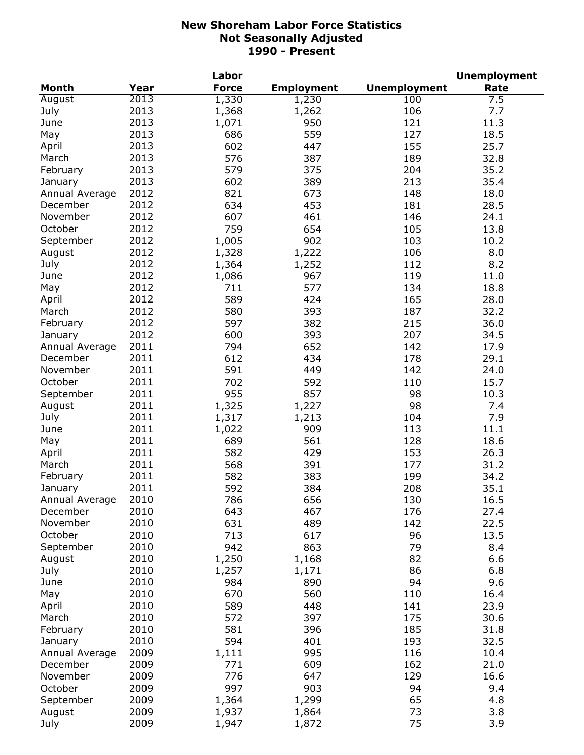|                |      | Labor        |                   |                     | <b>Unemployment</b> |
|----------------|------|--------------|-------------------|---------------------|---------------------|
| <b>Month</b>   | Year | <b>Force</b> | <b>Employment</b> | <b>Unemployment</b> | Rate                |
| August         | 2013 | 1,330        | 1,230             | 100                 | 7.5                 |
| July           | 2013 | 1,368        | 1,262             | 106                 | 7.7                 |
| June           | 2013 | 1,071        | 950               | 121                 | 11.3                |
| May            | 2013 | 686          | 559               | 127                 | 18.5                |
| April          | 2013 | 602          | 447               | 155                 | 25.7                |
| March          | 2013 | 576          | 387               | 189                 | 32.8                |
| February       | 2013 | 579          | 375               | 204                 | 35.2                |
| January        | 2013 | 602          | 389               | 213                 | 35.4                |
| Annual Average | 2012 | 821          | 673               | 148                 | 18.0                |
| December       | 2012 | 634          | 453               | 181                 | 28.5                |
| November       | 2012 | 607          | 461               | 146                 | 24.1                |
| October        | 2012 | 759          | 654               | 105                 | 13.8                |
| September      | 2012 | 1,005        | 902               | 103                 | 10.2                |
| August         | 2012 | 1,328        | 1,222             | 106                 | 8.0                 |
| July           | 2012 | 1,364        | 1,252             | 112                 | 8.2                 |
| June           | 2012 | 1,086        | 967               | 119                 | 11.0                |
| May            | 2012 | 711          | 577               | 134                 | 18.8                |
|                | 2012 | 589          | 424               | 165                 |                     |
| April          | 2012 |              |                   |                     | 28.0                |
| March          |      | 580          | 393               | 187                 | 32.2                |
| February       | 2012 | 597          | 382               | 215                 | 36.0                |
| January        | 2012 | 600          | 393               | 207                 | 34.5                |
| Annual Average | 2011 | 794          | 652               | 142                 | 17.9                |
| December       | 2011 | 612          | 434               | 178                 | 29.1                |
| November       | 2011 | 591          | 449               | 142                 | 24.0                |
| October        | 2011 | 702          | 592               | 110                 | 15.7                |
| September      | 2011 | 955          | 857               | 98                  | 10.3                |
| August         | 2011 | 1,325        | 1,227             | 98                  | 7.4                 |
| July           | 2011 | 1,317        | 1,213             | 104                 | 7.9                 |
| June           | 2011 | 1,022        | 909               | 113                 | 11.1                |
| May            | 2011 | 689          | 561               | 128                 | 18.6                |
| April          | 2011 | 582          | 429               | 153                 | 26.3                |
| March          | 2011 | 568          | 391               | 177                 | 31.2                |
| February       | 2011 | 582          | 383               | 199                 | 34.2                |
| January        | 2011 | 592          | 384               | 208                 | 35.1                |
| Annual Average | 2010 | 786          | 656               | 130                 | 16.5                |
| December       | 2010 | 643          | 467               | 176                 | 27.4                |
| November       | 2010 | 631          | 489               | 142                 | 22.5                |
| October        | 2010 | 713          | 617               | 96                  | 13.5                |
| September      | 2010 | 942          | 863               | 79                  | 8.4                 |
| August         | 2010 | 1,250        | 1,168             | 82                  | 6.6                 |
| July           | 2010 | 1,257        | 1,171             | 86                  | 6.8                 |
| June           | 2010 | 984          | 890               | 94                  | 9.6                 |
| May            | 2010 | 670          | 560               | 110                 | 16.4                |
| April          | 2010 | 589          | 448               | 141                 | 23.9                |
| March          | 2010 | 572          | 397               | 175                 | 30.6                |
| February       | 2010 | 581          | 396               | 185                 | 31.8                |
| January        | 2010 | 594          | 401               | 193                 | 32.5                |
| Annual Average | 2009 | 1,111        | 995               | 116                 | 10.4                |
| December       | 2009 | 771          | 609               | 162                 | 21.0                |
| November       | 2009 | 776          | 647               | 129                 | 16.6                |
| October        | 2009 | 997          | 903               | 94                  | 9.4                 |
| September      | 2009 | 1,364        | 1,299             | 65                  | 4.8                 |
| August         | 2009 | 1,937        | 1,864             | 73                  | 3.8                 |
| July           | 2009 | 1,947        | 1,872             | 75                  | 3.9                 |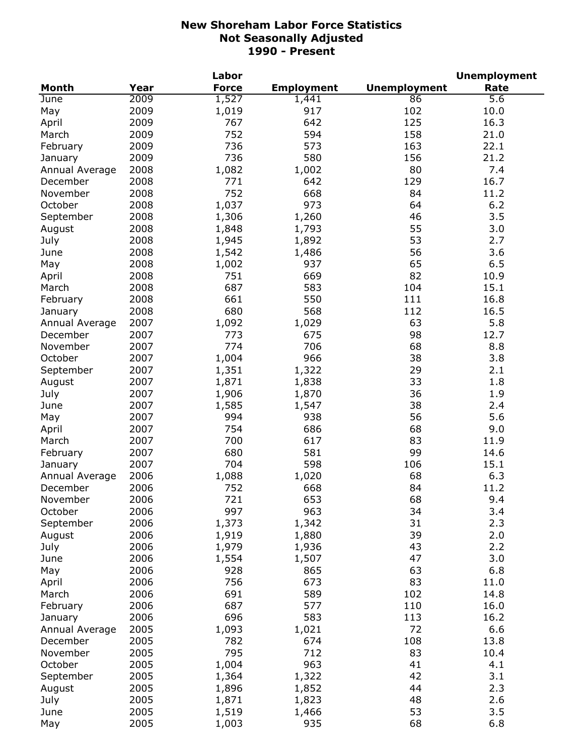|                |      | Labor        |                   |                     | <b>Unemployment</b> |
|----------------|------|--------------|-------------------|---------------------|---------------------|
| <b>Month</b>   | Year | <b>Force</b> | <b>Employment</b> | <b>Unemployment</b> | Rate                |
| <b>June</b>    | 2009 | 1,527        | 1,441             | 86                  | $\overline{5.6}$    |
| May            | 2009 | 1,019        | 917               | 102                 | 10.0                |
| April          | 2009 | 767          | 642               | 125                 | 16.3                |
| March          | 2009 | 752          | 594               | 158                 | 21.0                |
| February       | 2009 | 736          | 573               | 163                 | 22.1                |
| January        | 2009 | 736          | 580               | 156                 | 21.2                |
| Annual Average | 2008 | 1,082        | 1,002             | 80                  | 7.4                 |
| December       | 2008 | 771          | 642               | 129                 | 16.7                |
| November       | 2008 | 752          | 668               | 84                  | 11.2                |
| October        | 2008 | 1,037        | 973               | 64                  | 6.2                 |
| September      | 2008 | 1,306        | 1,260             | 46                  | 3.5                 |
| August         | 2008 | 1,848        | 1,793             | 55                  | 3.0                 |
| July           | 2008 | 1,945        | 1,892             | 53                  | 2.7                 |
| June           | 2008 | 1,542        | 1,486             | 56                  | 3.6                 |
| May            | 2008 | 1,002        | 937               | 65                  | 6.5                 |
| April          | 2008 | 751          | 669               | 82                  | 10.9                |
| March          | 2008 | 687          | 583               | 104                 | 15.1                |
|                | 2008 | 661          | 550               | 111                 |                     |
| February       |      |              |                   |                     | 16.8                |
| January        | 2008 | 680          | 568               | 112                 | 16.5                |
| Annual Average | 2007 | 1,092        | 1,029             | 63                  | 5.8                 |
| December       | 2007 | 773          | 675               | 98                  | 12.7                |
| November       | 2007 | 774          | 706               | 68                  | 8.8                 |
| October        | 2007 | 1,004        | 966               | 38                  | 3.8                 |
| September      | 2007 | 1,351        | 1,322             | 29                  | 2.1                 |
| August         | 2007 | 1,871        | 1,838             | 33                  | 1.8                 |
| July           | 2007 | 1,906        | 1,870             | 36                  | 1.9                 |
| June           | 2007 | 1,585        | 1,547             | 38                  | 2.4                 |
| May            | 2007 | 994          | 938               | 56                  | 5.6                 |
| April          | 2007 | 754          | 686               | 68                  | 9.0                 |
| March          | 2007 | 700          | 617               | 83                  | 11.9                |
| February       | 2007 | 680          | 581               | 99                  | 14.6                |
| January        | 2007 | 704          | 598               | 106                 | 15.1                |
| Annual Average | 2006 | 1,088        | 1,020             | 68                  | 6.3                 |
| December       | 2006 | 752          | 668               | 84                  | 11.2                |
| November       | 2006 | 721          | 653               | 68                  | 9.4                 |
| October        | 2006 | 997          | 963               | 34                  | 3.4                 |
| September      | 2006 | 1,373        | 1,342             | 31                  | 2.3                 |
| August         | 2006 | 1,919        | 1,880             | 39                  | 2.0                 |
| July           | 2006 | 1,979        | 1,936             | 43                  | 2.2                 |
| June           | 2006 | 1,554        | 1,507             | 47                  | 3.0                 |
| May            | 2006 | 928          | 865               | 63                  | 6.8                 |
| April          | 2006 | 756          | 673               | 83                  | 11.0                |
| March          | 2006 | 691          | 589               | 102                 | 14.8                |
| February       | 2006 | 687          | 577               | 110                 | 16.0                |
| January        | 2006 | 696          | 583               | 113                 | 16.2                |
| Annual Average | 2005 | 1,093        | 1,021             | 72                  | 6.6                 |
| December       | 2005 | 782          | 674               | 108                 | 13.8                |
| November       | 2005 | 795          | 712               | 83                  | 10.4                |
| October        | 2005 | 1,004        | 963               | 41                  | 4.1                 |
| September      | 2005 | 1,364        | 1,322             | 42                  | 3.1                 |
| August         | 2005 | 1,896        | 1,852             | 44                  | 2.3                 |
| July           | 2005 | 1,871        | 1,823             | 48                  | 2.6                 |
| June           | 2005 | 1,519        | 1,466             | 53                  | 3.5                 |
| May            | 2005 | 1,003        | 935               | 68                  | 6.8                 |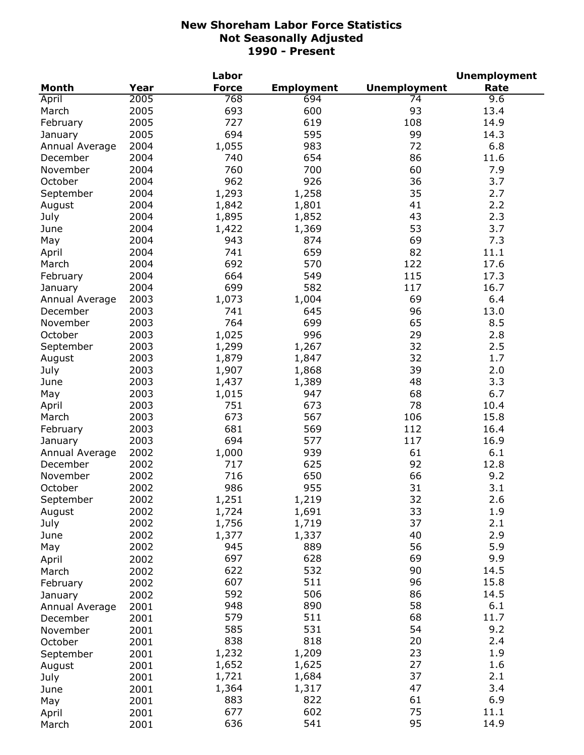|                |      | Labor        |                   |                     | <b>Unemployment</b> |
|----------------|------|--------------|-------------------|---------------------|---------------------|
| <b>Month</b>   | Year | <b>Force</b> | <b>Employment</b> | <b>Unemployment</b> | Rate                |
| April          | 2005 | 768          | 694               | 74                  | 9.6                 |
| March          | 2005 | 693          | 600               | 93                  | 13.4                |
| February       | 2005 | 727          | 619               | 108                 | 14.9                |
| January        | 2005 | 694          | 595               | 99                  | 14.3                |
| Annual Average | 2004 | 1,055        | 983               | 72                  | 6.8                 |
| December       | 2004 | 740          | 654               | 86                  | 11.6                |
| November       | 2004 | 760          | 700               | 60                  | 7.9                 |
| October        | 2004 | 962          | 926               | 36                  | 3.7                 |
| September      | 2004 | 1,293        | 1,258             | 35                  | 2.7                 |
| August         | 2004 | 1,842        | 1,801             | 41                  | 2.2                 |
| July           | 2004 | 1,895        | 1,852             | 43                  | 2.3                 |
| June           | 2004 | 1,422        | 1,369             | 53                  | 3.7                 |
| May            | 2004 | 943          | 874               | 69                  | 7.3                 |
| April          | 2004 | 741          | 659               | 82                  | 11.1                |
| March          | 2004 | 692          | 570               | 122                 | 17.6                |
|                | 2004 | 664          | 549               | 115                 | 17.3                |
| February       |      |              |                   |                     |                     |
| January        | 2004 | 699          | 582               | 117                 | 16.7                |
| Annual Average | 2003 | 1,073        | 1,004             | 69                  | 6.4                 |
| December       | 2003 | 741          | 645               | 96                  | 13.0                |
| November       | 2003 | 764          | 699               | 65                  | 8.5                 |
| October        | 2003 | 1,025        | 996               | 29                  | 2.8                 |
| September      | 2003 | 1,299        | 1,267             | 32                  | 2.5                 |
| August         | 2003 | 1,879        | 1,847             | 32                  | 1.7                 |
| July           | 2003 | 1,907        | 1,868             | 39                  | 2.0                 |
| June           | 2003 | 1,437        | 1,389             | 48                  | 3.3                 |
| May            | 2003 | 1,015        | 947               | 68                  | 6.7                 |
| April          | 2003 | 751          | 673               | 78                  | 10.4                |
| March          | 2003 | 673          | 567               | 106                 | 15.8                |
| February       | 2003 | 681          | 569               | 112                 | 16.4                |
| January        | 2003 | 694          | 577               | 117                 | 16.9                |
| Annual Average | 2002 | 1,000        | 939               | 61                  | 6.1                 |
| December       | 2002 | 717          | 625               | 92                  | 12.8                |
| November       | 2002 | 716          | 650               | 66                  | 9.2                 |
| October        | 2002 | 986          | 955               | 31                  | 3.1                 |
| September      | 2002 | 1,251        | 1,219             | 32                  | 2.6                 |
| August         | 2002 | 1,724        | 1,691             | 33                  | 1.9                 |
| July           | 2002 | 1,756        | 1,719             | 37                  | 2.1                 |
| June           | 2002 | 1,377        | 1,337             | 40                  | 2.9                 |
| May            | 2002 | 945          | 889               | 56                  | 5.9                 |
| April          | 2002 | 697          | 628               | 69                  | 9.9                 |
| March          | 2002 | 622          | 532               | 90                  | 14.5                |
| February       | 2002 | 607          | 511               | 96                  | 15.8                |
| January        | 2002 | 592          | 506               | 86                  | 14.5                |
| Annual Average | 2001 | 948          | 890               | 58                  | 6.1                 |
| December       | 2001 | 579          | 511               | 68                  | 11.7                |
| November       | 2001 | 585          | 531               | 54                  | 9.2                 |
| October        | 2001 | 838          | 818               | 20                  | 2.4                 |
| September      | 2001 | 1,232        | 1,209             | 23                  | 1.9                 |
|                | 2001 | 1,652        | 1,625             | 27                  | 1.6                 |
| August         |      | 1,721        | 1,684             | 37                  | 2.1                 |
| July           | 2001 | 1,364        | 1,317             | 47                  | 3.4                 |
| June           | 2001 | 883          | 822               | 61                  | 6.9                 |
| May            | 2001 | 677          | 602               | 75                  | 11.1                |
| April          | 2001 |              | 541               | 95                  |                     |
| March          | 2001 | 636          |                   |                     | 14.9                |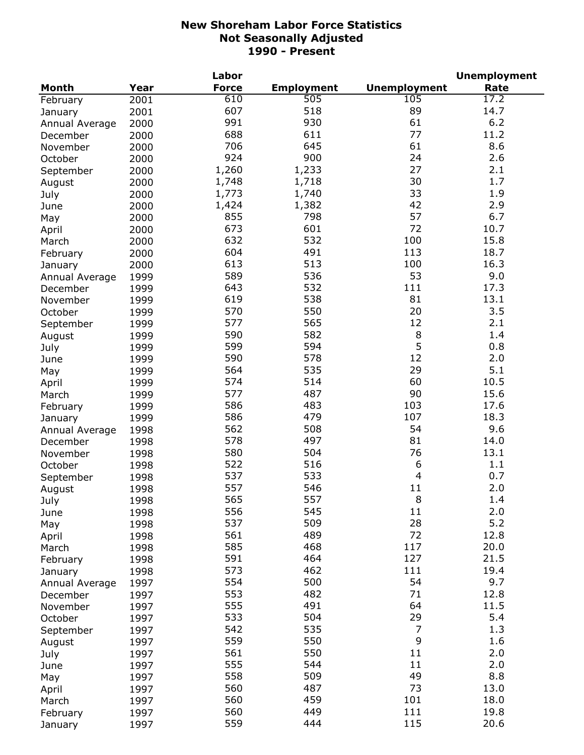|                |              | Labor        |                   |                     | <b>Unemployment</b> |
|----------------|--------------|--------------|-------------------|---------------------|---------------------|
| <b>Month</b>   | Year         | <b>Force</b> | <b>Employment</b> | <b>Unemployment</b> | Rate                |
| February       | 2001         | 610          | 505               | 105                 | 17.2                |
| January        | 2001         | 607          | 518               | 89                  | 14.7                |
| Annual Average | 2000         | 991          | 930               | 61                  | 6.2                 |
| December       | 2000         | 688          | 611               | 77                  | 11.2                |
| November       | 2000         | 706          | 645               | 61                  | 8.6                 |
| October        | 2000         | 924          | 900               | 24                  | 2.6                 |
| September      | 2000         | 1,260        | 1,233             | 27                  | 2.1                 |
| August         | 2000         | 1,748        | 1,718             | 30                  | 1.7                 |
|                | 2000         | 1,773        | 1,740             | 33                  | 1.9                 |
| July           |              | 1,424        | 1,382             | 42                  | 2.9                 |
| June           | 2000         | 855          | 798               | 57                  | 6.7                 |
| May            | 2000         | 673          | 601               | 72                  | 10.7                |
| April          | 2000         |              |                   |                     |                     |
| March          | 2000         | 632          | 532               | 100                 | 15.8                |
| February       | 2000         | 604          | 491               | 113                 | 18.7                |
| January        | 2000         | 613          | 513               | 100                 | 16.3                |
| Annual Average | 1999         | 589          | 536               | 53                  | 9.0                 |
| December       | 1999         | 643          | 532               | 111                 | 17.3                |
| November       | 1999         | 619          | 538               | 81                  | 13.1                |
| October        | 1999         | 570          | 550               | 20                  | 3.5                 |
| September      | 1999         | 577          | 565               | 12                  | 2.1                 |
| August         | 1999         | 590          | 582               | 8                   | 1.4                 |
| July           | 1999         | 599          | 594               | 5                   | 0.8                 |
| June           | 1999         | 590          | 578               | 12                  | 2.0                 |
| May            | 1999         | 564          | 535               | 29                  | 5.1                 |
| April          | 1999         | 574          | 514               | 60                  | 10.5                |
| March          | 1999         | 577          | 487               | 90                  | 15.6                |
| February       | 1999         | 586          | 483               | 103                 | 17.6                |
| January        | 1999         | 586          | 479               | 107                 | 18.3                |
| Annual Average | 1998         | 562          | 508               | 54                  | 9.6                 |
| December       | 1998         | 578          | 497               | 81                  | 14.0                |
| November       | 1998         | 580          | 504               | 76                  | 13.1                |
| October        | 1998         | 522          | 516               | 6                   | 1.1                 |
| September      | 1998         | 537          | 533               | $\overline{4}$      | 0.7                 |
| August         | 1998         | 557          | 546               | 11                  | 2.0                 |
| July           | 1998         | 565          | 557               | 8                   | 1.4                 |
|                | 1998         | 556          | 545               | 11                  | 2.0                 |
| June           |              | 537          | 509               | 28                  | 5.2                 |
| May            | 1998<br>1998 | 561          | 489               | 72                  | 12.8                |
| April          |              | 585          | 468               | 117                 | 20.0                |
| March          | 1998         | 591          | 464               | 127                 | 21.5                |
| February       | 1998         | 573          | 462               | 111                 | 19.4                |
| January        | 1998         |              |                   |                     |                     |
| Annual Average | 1997         | 554          | 500               | 54                  | 9.7                 |
| December       | 1997         | 553          | 482               | 71                  | 12.8                |
| November       | 1997         | 555          | 491               | 64                  | 11.5                |
| October        | 1997         | 533          | 504               | 29                  | 5.4                 |
| September      | 1997         | 542          | 535               | $\overline{7}$      | 1.3                 |
| August         | 1997         | 559          | 550               | 9                   | 1.6                 |
| July           | 1997         | 561          | 550               | 11                  | 2.0                 |
| June           | 1997         | 555          | 544               | 11                  | 2.0                 |
| May            | 1997         | 558          | 509               | 49                  | 8.8                 |
| April          | 1997         | 560          | 487               | 73                  | 13.0                |
| March          | 1997         | 560          | 459               | 101                 | 18.0                |
| February       | 1997         | 560          | 449               | 111                 | 19.8                |
| January        | 1997         | 559          | 444               | 115                 | 20.6                |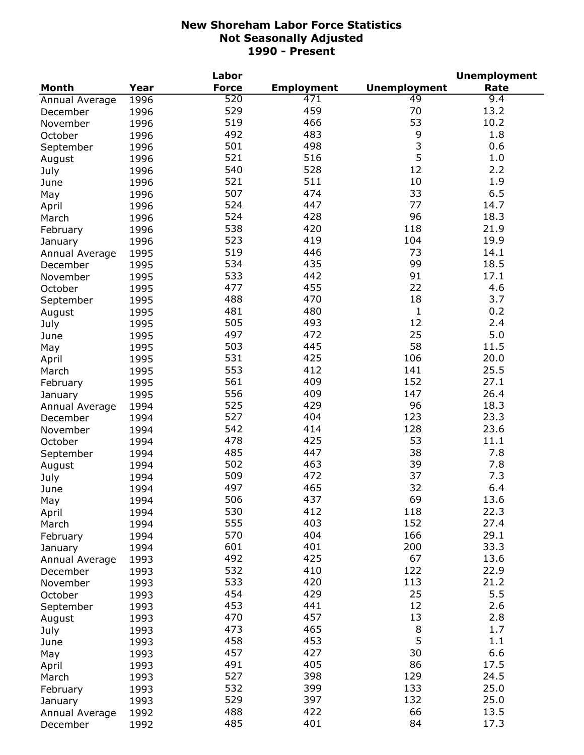|                |      | Labor        |                   |                     | <b>Unemployment</b> |
|----------------|------|--------------|-------------------|---------------------|---------------------|
| <b>Month</b>   | Year | <b>Force</b> | <b>Employment</b> | <b>Unemployment</b> | Rate                |
| Annual Average | 1996 | 520          | 471               | 49                  | 9.4                 |
| December       | 1996 | 529          | 459               | 70                  | 13.2                |
| November       | 1996 | 519          | 466               | 53                  | 10.2                |
| October        | 1996 | 492          | 483               | 9                   | 1.8                 |
| September      | 1996 | 501          | 498               | 3                   | 0.6                 |
| August         | 1996 | 521          | 516               | 5                   | 1.0                 |
| July           | 1996 | 540          | 528               | 12                  | 2.2                 |
| June           | 1996 | 521          | 511               | 10                  | 1.9                 |
|                | 1996 | 507          | 474               | 33                  | 6.5                 |
| May            |      | 524          | 447               | 77                  | 14.7                |
| April          | 1996 | 524          | 428               | 96                  | 18.3                |
| March          | 1996 |              | 420               |                     |                     |
| February       | 1996 | 538          |                   | 118                 | 21.9                |
| January        | 1996 | 523          | 419               | 104                 | 19.9                |
| Annual Average | 1995 | 519          | 446               | 73                  | 14.1                |
| December       | 1995 | 534          | 435               | 99                  | 18.5                |
| November       | 1995 | 533          | 442               | 91                  | 17.1                |
| October        | 1995 | 477          | 455               | 22                  | 4.6                 |
| September      | 1995 | 488          | 470               | 18                  | 3.7                 |
| August         | 1995 | 481          | 480               | $\mathbf{1}$        | 0.2                 |
| July           | 1995 | 505          | 493               | 12                  | 2.4                 |
| June           | 1995 | 497          | 472               | 25                  | 5.0                 |
| May            | 1995 | 503          | 445               | 58                  | 11.5                |
| April          | 1995 | 531          | 425               | 106                 | 20.0                |
| March          | 1995 | 553          | 412               | 141                 | 25.5                |
| February       | 1995 | 561          | 409               | 152                 | 27.1                |
| January        | 1995 | 556          | 409               | 147                 | 26.4                |
| Annual Average | 1994 | 525          | 429               | 96                  | 18.3                |
| December       | 1994 | 527          | 404               | 123                 | 23.3                |
| November       | 1994 | 542          | 414               | 128                 | 23.6                |
| October        | 1994 | 478          | 425               | 53                  | 11.1                |
| September      | 1994 | 485          | 447               | 38                  | 7.8                 |
|                | 1994 | 502          | 463               | 39                  | 7.8                 |
| August         |      | 509          | 472               | 37                  | 7.3                 |
| July           | 1994 | 497          | 465               | 32                  | 6.4                 |
| June           | 1994 |              |                   |                     |                     |
| May            | 1994 | 506          | 437               | 69                  | 13.6                |
| April          | 1994 | 530          | 412               | 118                 | 22.3                |
| March          | 1994 | 555          | 403               | 152                 | 27.4                |
| February       | 1994 | 570          | 404               | 166                 | 29.1                |
| January        | 1994 | 601          | 401               | 200                 | 33.3                |
| Annual Average | 1993 | 492          | 425               | 67                  | 13.6                |
| December       | 1993 | 532          | 410               | 122                 | 22.9                |
| November       | 1993 | 533          | 420               | 113                 | 21.2                |
| October        | 1993 | 454          | 429               | 25                  | 5.5                 |
| September      | 1993 | 453          | 441               | 12                  | 2.6                 |
| August         | 1993 | 470          | 457               | 13                  | 2.8                 |
| July           | 1993 | 473          | 465               | 8                   | 1.7                 |
| June           | 1993 | 458          | 453               | 5                   | 1.1                 |
| May            | 1993 | 457          | 427               | 30                  | 6.6                 |
| April          | 1993 | 491          | 405               | 86                  | 17.5                |
| March          | 1993 | 527          | 398               | 129                 | 24.5                |
| February       | 1993 | 532          | 399               | 133                 | 25.0                |
| January        | 1993 | 529          | 397               | 132                 | 25.0                |
| Annual Average | 1992 | 488          | 422               | 66                  | 13.5                |
| December       | 1992 | 485          | 401               | 84                  | 17.3                |
|                |      |              |                   |                     |                     |